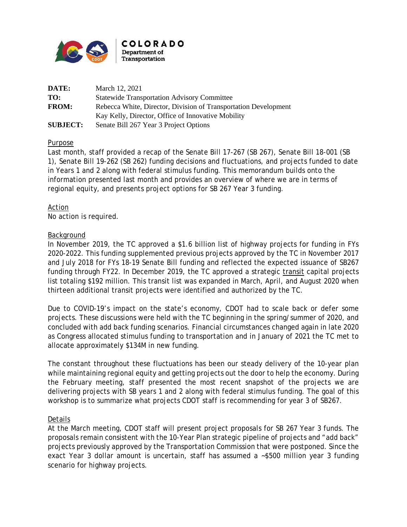

| DATE:           | March 12, 2021                                                  |
|-----------------|-----------------------------------------------------------------|
| TO:             | <b>Statewide Transportation Advisory Committee</b>              |
| <b>FROM:</b>    | Rebecca White, Director, Division of Transportation Development |
|                 | Kay Kelly, Director, Office of Innovative Mobility              |
| <b>SUBJECT:</b> | Senate Bill 267 Year 3 Project Options                          |

### Purpose

Last month, staff provided a recap of the Senate Bill 17-267 (SB 267), Senate Bill 18-001 (SB 1), Senate Bill 19-262 (SB 262) funding decisions and fluctuations, and projects funded to date in Years 1 and 2 along with federal stimulus funding. This memorandum builds onto the information presented last month and provides an overview of where we are in terms of regional equity, and presents project options for SB 267 Year 3 funding.

Action No action is required.

### **Background**

In November 2019, the TC approved a \$1.6 billion list of highway projects for funding in FYs 2020-2022. This funding supplemented previous projects approved by the TC in November 2017 and July 2018 for FYs 18-19 Senate Bill funding and reflected the expected issuance of SB267 funding through FY22. In December 2019, the TC approved a strategic transit capital projects list totaling \$192 million. This transit list was expanded in March, April, and August 2020 when thirteen additional transit projects were identified and authorized by the TC.

Due to COVID-19's impact on the state's economy, CDOT had to scale back or defer some projects. These discussions were held with the TC beginning in the spring/summer of 2020, and concluded with add back funding scenarios. Financial circumstances changed again in late 2020 as Congress allocated stimulus funding to transportation and in January of 2021 the TC met to allocate approximately \$134M in new funding.

The constant throughout these fluctuations has been our steady delivery of the 10-year plan while maintaining regional equity and getting projects out the door to help the economy. During the February meeting, staff presented the most recent snapshot of the projects we are delivering projects with SB years 1 and 2 along with federal stimulus funding. The goal of this workshop is to summarize what projects CDOT staff is recommending for year 3 of SB267.

### Details

At the March meeting, CDOT staff will present project proposals for SB 267 Year 3 funds. The proposals remain consistent with the 10-Year Plan strategic pipeline of projects and "add back" projects previously approved by the Transportation Commission that were postponed. Since the exact Year 3 dollar amount is uncertain, staff has assumed a ~\$500 million year 3 funding scenario for highway projects.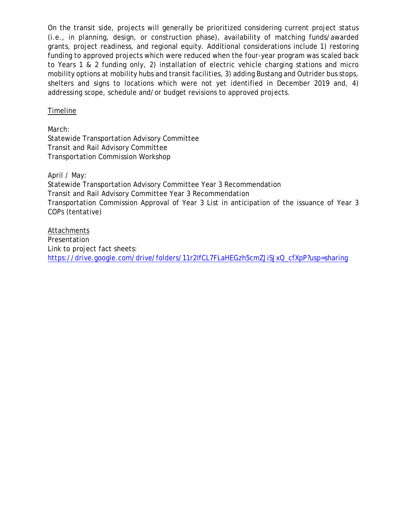On the transit side, projects will generally be prioritized considering current project status (i.e., in planning, design, or construction phase), availability of matching funds/awarded grants, project readiness, and regional equity. Additional considerations include 1) restoring funding to approved projects which were reduced when the four-year program was scaled back to Years 1 & 2 funding only, 2) installation of electric vehicle charging stations and micro mobility options at mobility hubs and transit facilities, 3) adding Bustang and Outrider bus stops, shelters and signs to locations which were not yet identified in December 2019 and, 4) addressing scope, schedule and/or budget revisions to approved projects.

Timeline

March: Statewide Transportation Advisory Committee Transit and Rail Advisory Committee Transportation Commission Workshop

April / May: Statewide Transportation Advisory Committee Year 3 Recommendation Transit and Rail Advisory Committee Year 3 Recommendation Transportation Commission Approval of Year 3 List in anticipation of the issuance of Year 3 COPs (tentative)

Attachments Presentation Link to project fact sheets: [https://drive.google.com/drive/folders/11r2IfCL7FLaHEGzh5cmZJiSJxQ\\_cfXpP?usp=sharing](https://drive.google.com/drive/folders/11r2IfCL7FLaHEGzh5cmZJiSJxQ_cfXpP?usp=sharing)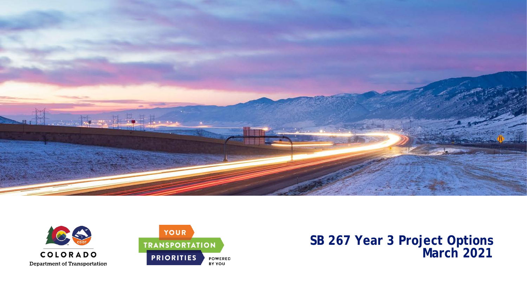





**SB 267 Year 3 Project Options March 2021**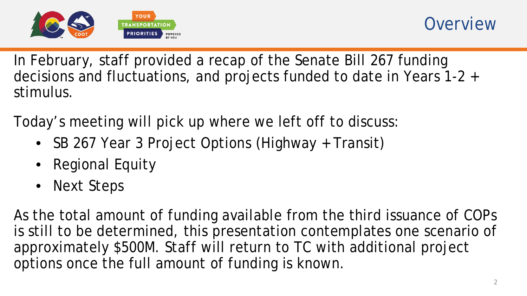

In February, staff provided a recap of the Senate Bill 267 funding decisions and fluctuations, and projects funded to date in Years 1-2 + stimulus.

Today's meeting will pick up where we left off to discuss:

- SB 267 Year 3 Project Options (Highway + Transit)
- Regional Equity
- Next Steps

As the total amount of funding available from the third issuance of COPs is still to be determined, this presentation contemplates one scenario of approximately \$500M. Staff will return to TC with additional project options once the full amount of funding is known.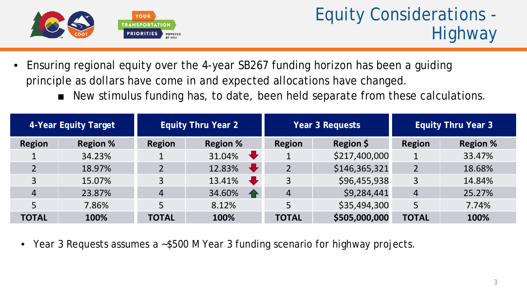

- Ensuring regional equity over the 4-year SB267 funding horizon has been a guiding principle as dollars have come in and expected allocations have changed.
	- New stimulus funding has, to date, been held separate from these calculations.

| 4-Year Equity Target |                 | <b>Equity Thru Year 2</b> |                                |               | Year 3 Requests | <b>Equity Thru Year 3</b> |                 |  |
|----------------------|-----------------|---------------------------|--------------------------------|---------------|-----------------|---------------------------|-----------------|--|
| <b>Region</b>        | <b>Region %</b> | <b>Region</b>             | <b>Region %</b>                | <b>Region</b> | Region \$       | <b>Region</b>             | <b>Region %</b> |  |
|                      | 34.23%          |                           | $\ddot{\phantom{1}}$<br>31.04% |               | \$217,400,000   |                           | 33.47%          |  |
| $\overline{2}$       | 18.97%          |                           | $\mathbf{L}$<br>12.83%         |               | \$146,365,321   |                           | 18.68%          |  |
| 3                    | 15.07%          |                           | 13.41%                         | 3             | \$96,455,938    | 3                         | 14.84%          |  |
| 4                    | 23.87%          | 4                         | 34.60%<br>$\bullet$            | 4             | \$9,284,441     | $\overline{4}$            | 25.27%          |  |
|                      | 7.86%           | 5                         | 8.12%                          |               | \$35,494,300    | 5                         | 7.74%           |  |
| <b>TOTAL</b>         | 100%            | <b>TOTAL</b>              | 100%                           | <b>TOTAL</b>  | \$505,000,000   | <b>TOTAL</b>              | 100%            |  |

• Year 3 Requests assumes a ~\$500 M Year 3 funding scenario for highway projects.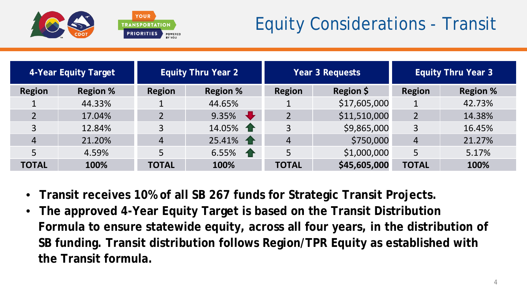

# Equity Considerations - Transit

| 4-Year Equity Target |                 |                | <b>Equity Thru Year 2</b> |                     | Year 3 Requests |                | <b>Equity Thru Year 3</b> |
|----------------------|-----------------|----------------|---------------------------|---------------------|-----------------|----------------|---------------------------|
| <b>Region</b>        | <b>Region %</b> | <b>Region</b>  | <b>Region %</b>           | Region \$<br>Region |                 | <b>Region</b>  | <b>Region %</b>           |
|                      | 44.33%          |                | 44.65%                    |                     | \$17,605,000    |                | 42.73%                    |
|                      | 17.04%          | $\overline{2}$ | ┺<br>9.35%                |                     | \$11,510,000    |                | 14.38%                    |
|                      | 12.84%          | 3              | 14.05%                    | 3                   | \$9,865,000     | 3              | 16.45%                    |
| $\overline{4}$       | 21.20%          | $\overline{4}$ | 25.41%                    | $\overline{4}$      | \$750,000       | $\overline{4}$ | 21.27%                    |
| 5                    | 4.59%           | 5              | 6.55% $\bigoplus$         | 5                   | \$1,000,000     | 5              | 5.17%                     |
| <b>TOTAL</b>         | 100%            | <b>TOTAL</b>   | 100%                      | <b>TOTAL</b>        | \$45,605,000    | <b>TOTAL</b>   | 100%                      |

- **Transit receives 10% of all SB 267 funds for Strategic Transit Projects.**
- **The approved 4-Year Equity Target is based on the Transit Distribution Formula to ensure statewide equity, across all four years, in the distribution of SB funding. Transit distribution follows Region/TPR Equity as established with the Transit formula.**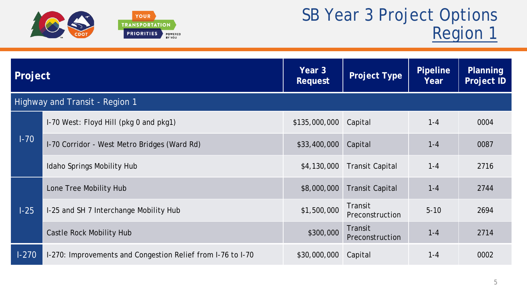

| Project |                                                             | Year 3<br><b>Request</b> | <b>Project Type</b>               | <b>Pipeline</b><br>Year | Planning<br><b>Project ID</b> |
|---------|-------------------------------------------------------------|--------------------------|-----------------------------------|-------------------------|-------------------------------|
|         | Highway and Transit - Region 1                              |                          |                                   |                         |                               |
|         | I-70 West: Floyd Hill (pkg 0 and pkg1)                      | \$135,000,000            | Capital                           | $1 - 4$                 | 0004                          |
| $1-70$  | I-70 Corridor - West Metro Bridges (Ward Rd)                | \$33,400,000             | Capital                           | $1 - 4$                 | 0087                          |
|         | Idaho Springs Mobility Hub                                  | \$4,130,000              | <b>Transit Capital</b>            | $1 - 4$                 | 2716                          |
|         | Lone Tree Mobility Hub                                      | \$8,000,000              | <b>Transit Capital</b>            | $1 - 4$                 | 2744                          |
| $1-25$  | I-25 and SH 7 Interchange Mobility Hub                      | \$1,500,000              | Transit<br><b>Preconstruction</b> | $5 - 10$                | 2694                          |
|         | Castle Rock Mobility Hub                                    | \$300,000                | Transit<br>Preconstruction        | $1 - 4$                 | 2714                          |
| $1-270$ | 1-270: Improvements and Congestion Relief from 1-76 to 1-70 | \$30,000,000             | Capital                           | $1 - 4$                 | 0002                          |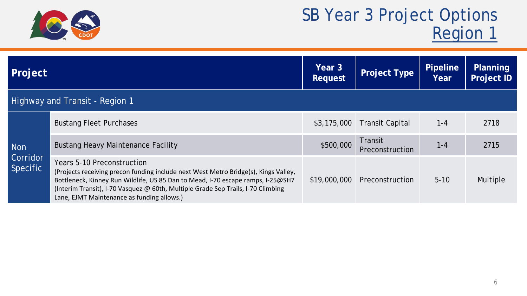

| Project                     |                                                                                                                                                                                                                                                                                                                                        | Year 3<br><b>Request</b> | <b>Project Type</b>        | <b>Pipeline</b><br>Year | <b>Planning</b><br><b>Project ID</b> |
|-----------------------------|----------------------------------------------------------------------------------------------------------------------------------------------------------------------------------------------------------------------------------------------------------------------------------------------------------------------------------------|--------------------------|----------------------------|-------------------------|--------------------------------------|
|                             | Highway and Transit - Region 1                                                                                                                                                                                                                                                                                                         |                          |                            |                         |                                      |
|                             | <b>Bustang Fleet Purchases</b>                                                                                                                                                                                                                                                                                                         | \$3,175,000              | <b>Transit Capital</b>     | $1 - 4$                 | 2718                                 |
| <b>Non</b>                  | <b>Bustang Heavy Maintenance Facility</b>                                                                                                                                                                                                                                                                                              | \$500,000                | Transit<br>Preconstruction | $1 - 4$                 | 2715                                 |
| Corridor<br><b>Specific</b> | Years 5-10 Preconstruction<br>(Projects receiving precon funding include next West Metro Bridge(s), Kings Valley,<br>Bottleneck, Kinney Run Wildlife, US 85 Dan to Mead, I-70 escape ramps, I-25@SH7<br>(Interim Transit), I-70 Vasquez @ 60th, Multiple Grade Sep Trails, I-70 Climbing<br>Lane, EJMT Maintenance as funding allows.) | \$19,000,000             | Preconstruction            | $5 - 10$                | Multiple                             |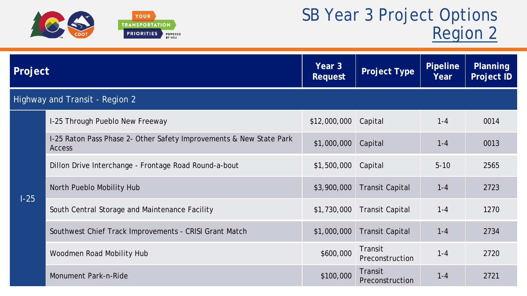

| Project |                                                                                      | Year 3<br><b>Request</b> | Project Type               | <b>Pipeline</b><br>Year | <b>Planning</b><br><b>Project ID</b> |
|---------|--------------------------------------------------------------------------------------|--------------------------|----------------------------|-------------------------|--------------------------------------|
|         | Highway and Transit - Region 2                                                       |                          |                            |                         |                                      |
|         | I-25 Through Pueblo New Freeway                                                      | \$12,000,000 Capital     |                            | $1 - 4$                 | 0014                                 |
|         | I-25 Raton Pass Phase 2- Other Safety Improvements & New State Park<br><b>Access</b> | \$1,000,000              | Capital                    | $1 - 4$                 | 0013                                 |
|         | Dillon Drive Interchange - Frontage Road Round-a-bout                                | \$1,500,000              | Capital                    | $5 - 10$                | 2565                                 |
|         | North Pueblo Mobility Hub                                                            | \$3,900,000              | <b>Transit Capital</b>     | $1 - 4$                 | 2723                                 |
| $1-25$  | South Central Storage and Maintenance Facility                                       | \$1,730,000              | <b>Transit Capital</b>     | $1 - 4$                 | 1270                                 |
|         | Southwest Chief Track Improvements - CRISI Grant Match                               | \$1,000,000              | <b>Transit Capital</b>     | $1 - 4$                 | 2734                                 |
|         | Woodmen Road Mobility Hub                                                            | \$600,000                | Transit<br>Preconstruction | $1 - 4$                 | 2720                                 |
|         | Monument Park-n-Ride                                                                 | \$100,000                | Transit<br>Preconstruction | $1 - 4$                 | 2721                                 |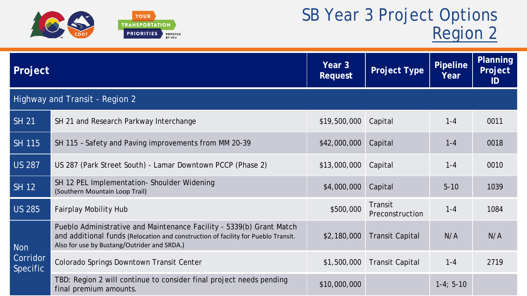

| Project                     |                                                                                                                                                                                                          | Year 3<br><b>Request</b> | <b>Project Type</b>        | <b>Pipeline</b><br>Year | Planning<br>Project<br>ID |
|-----------------------------|----------------------------------------------------------------------------------------------------------------------------------------------------------------------------------------------------------|--------------------------|----------------------------|-------------------------|---------------------------|
|                             | Highway and Transit - Region 2                                                                                                                                                                           |                          |                            |                         |                           |
| <b>SH 21</b>                | SH 21 and Research Parkway Interchange                                                                                                                                                                   | \$19,500,000             | Capital                    | $1 - 4$                 | 0011                      |
| <b>SH 115</b>               | SH 115 - Safety and Paving improvements from MM 20-39                                                                                                                                                    | \$42,000,000             | Capital                    | $1 - 4$                 | 0018                      |
| <b>US 287</b>               | US 287 (Park Street South) - Lamar Downtown PCCP (Phase 2)                                                                                                                                               | \$13,000,000             | Capital                    | $1 - 4$                 | 0010                      |
| <b>SH 12</b>                | SH 12 PEL Implementation- Shoulder Widening<br>(Southern Mountain Loop Trail)                                                                                                                            | \$4,000,000              | Capital                    | $5 - 10$                | 1039                      |
| <b>US 285</b>               | <b>Fairplay Mobility Hub</b>                                                                                                                                                                             | \$500,000                | Transit<br>Preconstruction | $1 - 4$                 | 1084                      |
| <b>Non</b>                  | Pueblo Administrative and Maintenance Facility - 5339(b) Grant Match<br>and additional funds (Relocation and construction of facility for Pueblo Transit.<br>Also for use by Bustang/Outrider and SRDA.) | \$2,180,000              | <b>Transit Capital</b>     | N/A                     | N/A                       |
| Corridor<br><b>Specific</b> | Colorado Springs Downtown Transit Center                                                                                                                                                                 | \$1,500,000              | <b>Transit Capital</b>     | $1 - 4$                 | 2719                      |
|                             | TBD: Region 2 will continue to consider final project needs pending<br>final premium amounts.                                                                                                            | \$10,000,000             |                            | $1-4; 5-10$             |                           |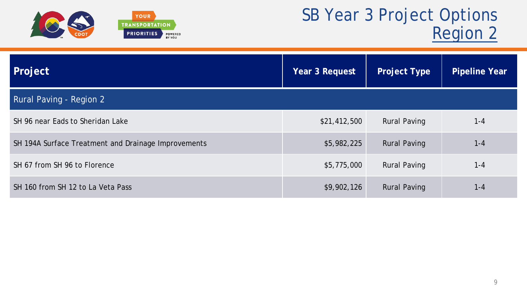

| Project                                             | Year 3 Request | <b>Project Type</b> | <b>Pipeline Year</b> |
|-----------------------------------------------------|----------------|---------------------|----------------------|
| Rural Paving - Region 2                             |                |                     |                      |
| SH 96 near Eads to Sheridan Lake                    | \$21,412,500   | <b>Rural Paving</b> | $1 - 4$              |
| SH 194A Surface Treatment and Drainage Improvements | \$5,982,225    | <b>Rural Paving</b> | $1 - 4$              |
| SH 67 from SH 96 to Florence                        | \$5,775,000    | <b>Rural Paving</b> | $1 - 4$              |
| SH 160 from SH 12 to La Veta Pass                   | \$9,902,126    | <b>Rural Paving</b> | $1 - 4$              |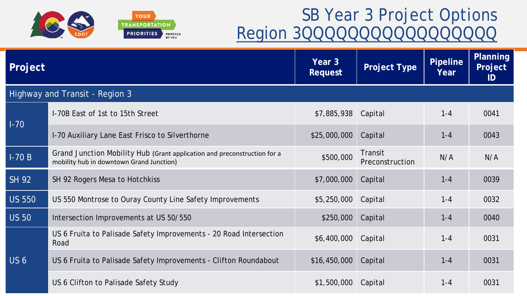

| Project         |                                                                                                                      | Year 3<br><b>Request</b> | <b>Project Type</b>        | <b>Pipeline</b><br>Year | <b>Planning</b><br>Project<br>ID |
|-----------------|----------------------------------------------------------------------------------------------------------------------|--------------------------|----------------------------|-------------------------|----------------------------------|
|                 | Highway and Transit - Region 3                                                                                       |                          |                            |                         |                                  |
|                 | I-70B East of 1st to 15th Street                                                                                     | \$7,885,938 Capital      |                            | $1 - 4$                 | 0041                             |
| $1-70$          | I-70 Auxiliary Lane East Frisco to Silverthorne                                                                      | \$25,000,000             | Capital                    | $1 - 4$                 | 0043                             |
| $I-70B$         | Grand Junction Mobility Hub (Grant application and preconstruction for a<br>mobility hub in downtown Grand Junction) | \$500,000                | Transit<br>Preconstruction | N/A                     | N/A                              |
| <b>SH 92</b>    | SH 92 Rogers Mesa to Hotchkiss                                                                                       | \$7,000,000              | Capital                    | $1 - 4$                 | 0039                             |
| <b>US 550</b>   | US 550 Montrose to Ouray County Line Safety Improvements                                                             | \$5,250,000              | Capital                    | $1 - 4$                 | 0032                             |
| <b>US 50</b>    | Intersection Improvements at US 50/550                                                                               | \$250,000                | Capital                    | $1 - 4$                 | 0040                             |
|                 | US 6 Fruita to Palisade Safety Improvements - 20 Road Intersection<br>Road                                           | \$6,400,000              | Capital                    | $1 - 4$                 | 0031                             |
| US <sub>6</sub> | US 6 Fruita to Palisade Safety Improvements - Clifton Roundabout                                                     | \$16,450,000             | Capital                    | $1 - 4$                 | 0031                             |
|                 | US 6 Clifton to Palisade Safety Study                                                                                | \$1,500,000              | Capital                    | $1 - 4$                 | 0031                             |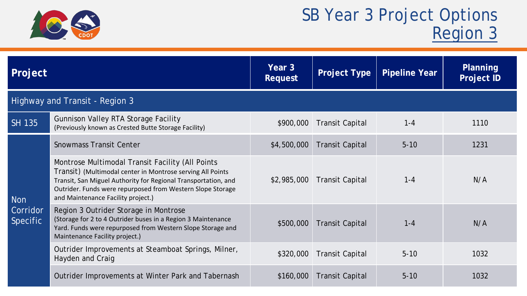

| Project                                   |                                                                                                                                                                                                                                                                                      | Year 3<br><b>Request</b> | <b>Project Type</b>    | <b>Pipeline Year</b> | <b>Planning</b><br><b>Project ID</b> |  |  |
|-------------------------------------------|--------------------------------------------------------------------------------------------------------------------------------------------------------------------------------------------------------------------------------------------------------------------------------------|--------------------------|------------------------|----------------------|--------------------------------------|--|--|
| Highway and Transit - Region 3            |                                                                                                                                                                                                                                                                                      |                          |                        |                      |                                      |  |  |
| <b>SH 135</b>                             | <b>Gunnison Valley RTA Storage Facility</b><br>(Previously known as Crested Butte Storage Facility)                                                                                                                                                                                  | \$900,000                | <b>Transit Capital</b> | $1 - 4$              | 1110                                 |  |  |
| <b>Non</b><br>Corridor<br><b>Specific</b> | <b>Snowmass Transit Center</b>                                                                                                                                                                                                                                                       | \$4,500,000              | <b>Transit Capital</b> | $5 - 10$             | 1231                                 |  |  |
|                                           | Montrose Multimodal Transit Facility (All Points<br>Transit) (Multimodal center in Montrose serving All Points<br>Transit, San Miguel Authority for Regional Transportation, and<br>Outrider. Funds were repurposed from Western Slope Storage<br>and Maintenance Facility project.) | \$2,985,000              | <b>Transit Capital</b> | $1 - 4$              | N/A                                  |  |  |
|                                           | Region 3 Outrider Storage in Montrose<br>(Storage for 2 to 4 Outrider buses in a Region 3 Maintenance<br>Yard. Funds were repurposed from Western Slope Storage and<br>Maintenance Facility project.)                                                                                | \$500,000                | <b>Transit Capital</b> | $1 - 4$              | N/A                                  |  |  |
|                                           | Outrider Improvements at Steamboat Springs, Milner,<br>Hayden and Craig                                                                                                                                                                                                              | \$320,000                | <b>Transit Capital</b> | $5 - 10$             | 1032                                 |  |  |
|                                           | Outrider Improvements at Winter Park and Tabernash                                                                                                                                                                                                                                   | \$160,000                | <b>Transit Capital</b> | $5 - 10$             | 1032                                 |  |  |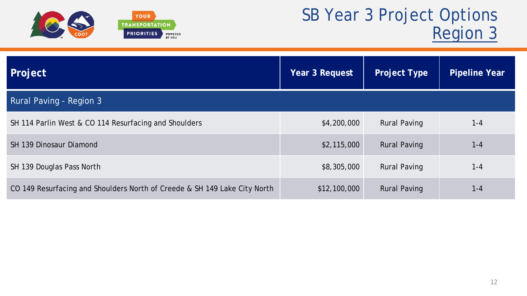

| Project                                                                   | Year 3 Request | <b>Project Type</b> | <b>Pipeline Year</b> |
|---------------------------------------------------------------------------|----------------|---------------------|----------------------|
| Rural Paving - Region 3                                                   |                |                     |                      |
| SH 114 Parlin West & CO 114 Resurfacing and Shoulders                     | \$4,200,000    | <b>Rural Paving</b> | $1 - 4$              |
| <b>SH 139 Dinosaur Diamond</b>                                            | \$2,115,000    | <b>Rural Paving</b> | $1 - 4$              |
| SH 139 Douglas Pass North                                                 | \$8,305,000    | <b>Rural Paving</b> | $1 - 4$              |
| CO 149 Resurfacing and Shoulders North of Creede & SH 149 Lake City North | \$12,100,000   | <b>Rural Paving</b> | $1 - 4$              |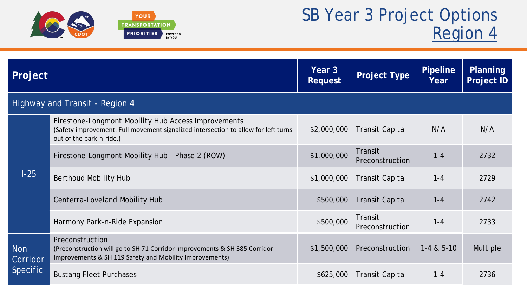

| Project                        |                                                                                                                                                                       | Year 3<br><b>Request</b>                       | <b>Project Type</b>        | <b>Pipeline</b><br>Year | Planning<br><b>Project ID</b> |  |
|--------------------------------|-----------------------------------------------------------------------------------------------------------------------------------------------------------------------|------------------------------------------------|----------------------------|-------------------------|-------------------------------|--|
| Highway and Transit - Region 4 |                                                                                                                                                                       |                                                |                            |                         |                               |  |
|                                | Firestone-Longmont Mobility Hub Access Improvements<br>(Safety improvement. Full movement signalized intersection to allow for left turns<br>out of the park-n-ride.) | \$2,000,000                                    | <b>Transit Capital</b>     | N/A                     | N/A                           |  |
|                                | Firestone-Longmont Mobility Hub - Phase 2 (ROW)                                                                                                                       | \$1,000,000                                    | Transit<br>Preconstruction | $1 - 4$                 | 2732                          |  |
| $1-25$                         | Berthoud Mobility Hub                                                                                                                                                 | \$1,000,000                                    | <b>Transit Capital</b>     | $1 - 4$                 | 2729                          |  |
|                                | Centerra-Loveland Mobility Hub                                                                                                                                        | \$500,000                                      | <b>Transit Capital</b>     | $1 - 4$                 | 2742                          |  |
|                                | Harmony Park-n-Ride Expansion                                                                                                                                         | \$500,000                                      | Transit<br>Preconstruction | $1 - 4$                 | 2733                          |  |
| <b>Non</b><br>Corridor         | Preconstruction<br>(Preconstruction will go to SH 71 Corridor Improvements & SH 385 Corridor<br>Improvements & SH 119 Safety and Mobility Improvements)               | \$1,500,000                                    | Preconstruction            | $1 - 4 & 5 - 10$        | <b>Multiple</b>               |  |
| <b>Specific</b>                | <b>Bustang Fleet Purchases</b>                                                                                                                                        | \$625,000<br><b>Transit Capital</b><br>$1 - 4$ | 2736                       |                         |                               |  |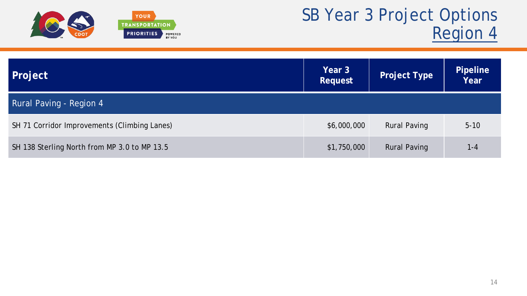

| Project                                      | Year 3<br>Request | <b>Project Type</b> | <b>Pipeline</b><br>Year |
|----------------------------------------------|-------------------|---------------------|-------------------------|
| Rural Paving - Region 4                      |                   |                     |                         |
| SH 71 Corridor Improvements (Climbing Lanes) | \$6,000,000       | <b>Rural Paving</b> | $5 - 10$                |
| SH 138 Sterling North from MP 3.0 to MP 13.5 | \$1,750,000       | <b>Rural Paving</b> | $1 - 4$                 |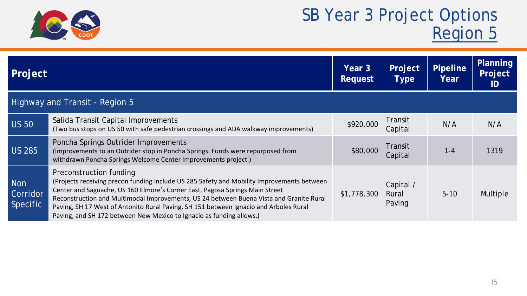

| Project                                   |                                                                                                                                                                                                                                                                                                                                                                                                                                                                   | Year 3<br><b>Request</b> | Project<br><b>Type</b>       | <b>Pipeline</b><br>Year | Planning<br>Project<br>ID |
|-------------------------------------------|-------------------------------------------------------------------------------------------------------------------------------------------------------------------------------------------------------------------------------------------------------------------------------------------------------------------------------------------------------------------------------------------------------------------------------------------------------------------|--------------------------|------------------------------|-------------------------|---------------------------|
|                                           | <b>Highway and Transit - Region 5</b>                                                                                                                                                                                                                                                                                                                                                                                                                             |                          |                              |                         |                           |
| <b>US 50</b>                              | Salida Transit Capital Improvements<br>(Two bus stops on US 50 with safe pedestrian crossings and ADA walkway improvements)                                                                                                                                                                                                                                                                                                                                       | \$920,000                | Transit<br>Capital           | N/A                     | N/A                       |
| <b>US 285</b>                             | Poncha Springs Outrider Improvements<br>(Improvements to an Outrider stop in Poncha Springs. Funds were repurposed from<br>withdrawn Poncha Springs Welcome Center Improvements project.)                                                                                                                                                                                                                                                                         | \$80,000                 | Transit<br>Capital           | $1 - 4$                 | 1319                      |
| <b>Non</b><br>Corridor<br><b>Specific</b> | Preconstruction funding<br>(Projects receiving precon funding include US 285 Safety and Mobility Improvements between<br>Center and Saguache, US 160 Elmore's Corner East, Pagosa Springs Main Street<br>Reconstruction and Multimodal Improvements, US 24 between Buena Vista and Granite Rural<br>Paving, SH 17 West of Antonito Rural Paving, SH 151 between Ignacio and Arboles Rural<br>Paving, and SH 172 between New Mexico to Ignacio as funding allows.) | \$1,778,300              | Capital /<br>Rural<br>Paving | $5 - 10$                | Multiple                  |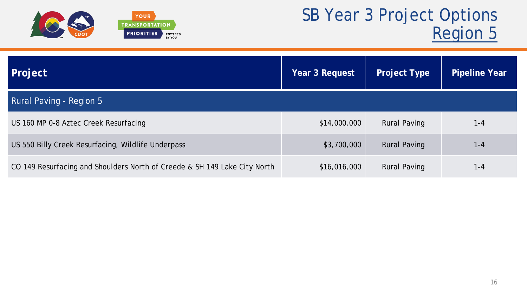

| Project                                                                   | Year 3 Request | <b>Project Type</b> | <b>Pipeline Year</b> |
|---------------------------------------------------------------------------|----------------|---------------------|----------------------|
| Rural Paving - Region 5                                                   |                |                     |                      |
| US 160 MP 0-8 Aztec Creek Resurfacing                                     | \$14,000,000   | <b>Rural Paving</b> | $1 - 4$              |
| US 550 Billy Creek Resurfacing, Wildlife Underpass                        | \$3,700,000    | <b>Rural Paving</b> | $1 - 4$              |
| CO 149 Resurfacing and Shoulders North of Creede & SH 149 Lake City North | \$16,016,000   | <b>Rural Paving</b> | 1-4                  |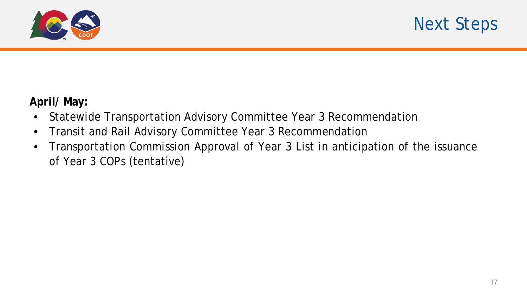

### **April/ May:**

- Statewide Transportation Advisory Committee Year 3 Recommendation
- Transit and Rail Advisory Committee Year 3 Recommendation
- Transportation Commission Approval of Year 3 List in anticipation of the issuance of Year 3 COPs (tentative)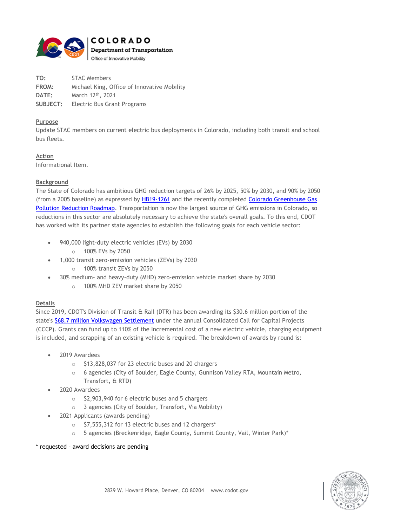

| TO:      | <b>STAC Members</b>                         |
|----------|---------------------------------------------|
| FROM:    | Michael King, Office of Innovative Mobility |
| DATE:    | March 12th, 2021                            |
| SUBJECT: | Electric Bus Grant Programs                 |

### **Purpose**

Update STAC members on current electric bus deployments in Colorado, including both transit and school bus fleets.

**Action** Informational Item.

### **Background**

The State of Colorado has ambitious GHG reduction targets of 26% by 2025, 50% by 2030, and 90% by 2050 (from a 2005 baseline) as expressed by [HB19-1261](https://leg.colorado.gov/bills/hb19-1261) and the recently completed [Colorado Greenhouse Gas](https://energyoffice.colorado.gov/climate-energy/ghg-pollution-reduction-roadmap)  [Pollution Reduction Roadmap.](https://energyoffice.colorado.gov/climate-energy/ghg-pollution-reduction-roadmap) Transportation is now the largest source of GHG emissions in Colorado, so reductions in this sector are absolutely necessary to achieve the state's overall goals. To this end, CDOT has worked with its partner state agencies to establish the following goals for each vehicle sector:

- 940,000 light-duty electric vehicles (EVs) by 2030
	- o 100% EVs by 2050
- 1,000 transit zero-emission vehicles (ZEVs) by 2030
	- o 100% transit ZEVs by 2050
- 30% medium- and heavy-duty (MHD) zero-emission vehicle market share by 2030
	- o 100% MHD ZEV market share by 2050

### **Details**

Since 2019, CDOT's Division of Transit & Rail (DTR) has been awarding its \$30.6 million portion of the state's [\\$68.7 million Volkswagen Settlement](https://cdphe.colorado.gov/volkswagen-diesel-emissions-settlement) under the annual Consolidated Call for Capital Projects (CCCP). Grants can fund up to 110% of the Incremental cost of a new electric vehicle, charging equipment is included, and scrapping of an existing vehicle is required. The breakdown of awards by round is:

- 2019 Awardees
	- o \$13,828,037 for 23 electric buses and 20 chargers
	- o 6 agencies (City of Boulder, Eagle County, Gunnison Valley RTA, Mountain Metro, Transfort, & RTD)
- 2020 Awardees
	- o \$2,903,940 for 6 electric buses and 5 chargers
	- o 3 agencies (City of Boulder, Transfort, Via Mobility)
- 2021 Applicants (awards pending)
	- o \$7,555,312 for 13 electric buses and 12 chargers\*
	- $\circ$  5 agencies (Breckenridge, Eagle County, Summit County, Vail, Winter Park)\*

### \* requested – award decisions are pending